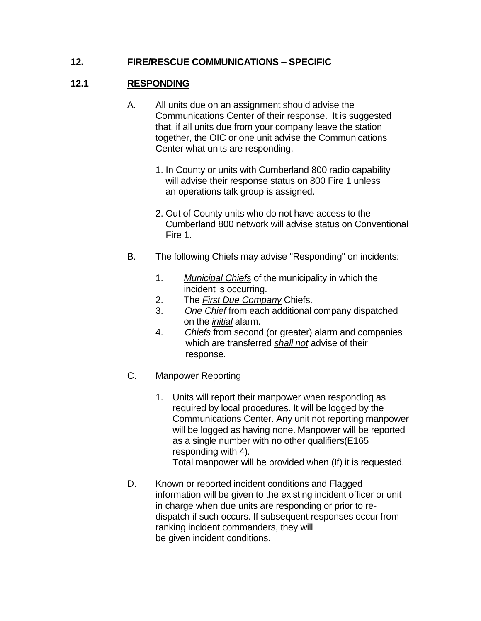# $12.$ **12. FIRE/RESCUE COMMUNICATIONS – SPECIFIC**

## $12.1$ **12.1 RESPONDING**

- Communications Center of their response. It is suggested that, if all units due from your company leave the station together, the OIC or one unit advise the Communications Center what units are responding. A. All units due on an assignment should advise the
	- 1. In County or units with Cumberland 800 radio capability will advise their response status on 800 Fire 1 unless an operations talk group is assigned.
	- 2. Out of County units who do not have access to the Cumberland 800 network will advise status on Conventional Fire 1.
- B. The following Chiefs may advise "Responding" on incidents:
	- incident is occurring. 1. *Municipal Chiefs* of the municipality in which the
	- 2. The *First Due Company* Chiefs.
	- on the *initial* alarm. 3. *One Chief* from each additional company dispatched
	- 4. *Chiefs* from second (or greater) alarm and companies which are transferred *shall not* advise of their response.
- C. Manpower Reporting
	- 1. Units will report their manpower when responding as required by local procedures. It will be logged by the Communications Center. Any unit not reporting manpower will be logged as having none. Manpower will be reported as a single number with no other qualifiers(E165 responding with 4). Total manpower will be provided when (If) it is requested.
- D. information will be given to the existing incident officer or unit in charge when due units are responding or prior to re- dispatch if such occurs. If subsequent responses occur from ranking incident commanders, they will be given incident conditions. Known or reported incident conditions and Flagged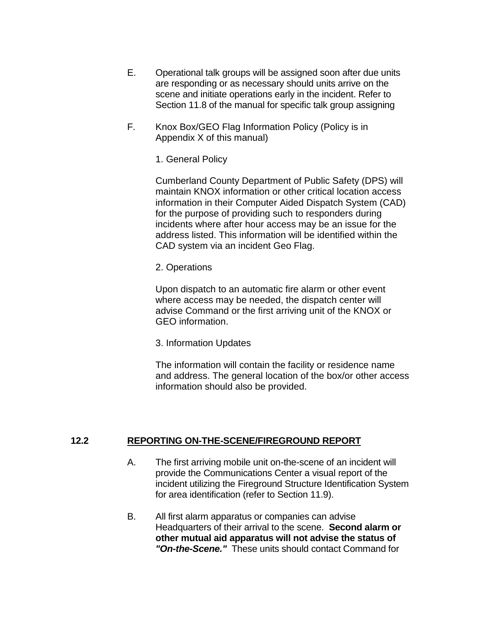- E. Operational talk groups will be assigned soon after due units are responding or as necessary should units arrive on the scene and initiate operations early in the incident. Refer to Section 11.8 of the manual for specific talk group assigning
- $F_{\perp}$ Knox Box/GEO Flag Information Policy (Policy is in Appendix X of this manual)
	- 1. General Policy

 incidents where after hour access may be an issue for the CAD system via an incident Geo Flag. Cumberland County Department of Public Safety (DPS) will maintain KNOX information or other critical location access information in their Computer Aided Dispatch System (CAD) for the purpose of providing such to responders during address listed. This information will be identified within the

2. Operations

Upon dispatch to an automatic fire alarm or other event where access may be needed, the dispatch center will advise Command or the first arriving unit of the KNOX or GEO information.

3. Information Updates

The information will contain the facility or residence name and address. The general location of the box/or other access information should also be provided.

### $12.2$ **12.2 REPORTING ON-THE-SCENE/FIREGROUND REPORT**

- provide the Communications Center a visual report of the incident utilizing the Fireground Structure Identification System for area identification (refer to Section 11.9). A. The first arriving mobile unit on-the-scene of an incident will
- Headquarters of their arrival to the scene. **Second alarm or other mutual aid apparatus will not advise the status of**  *"On-the-Scene."* These units should contact Command for B. All first alarm apparatus or companies can advise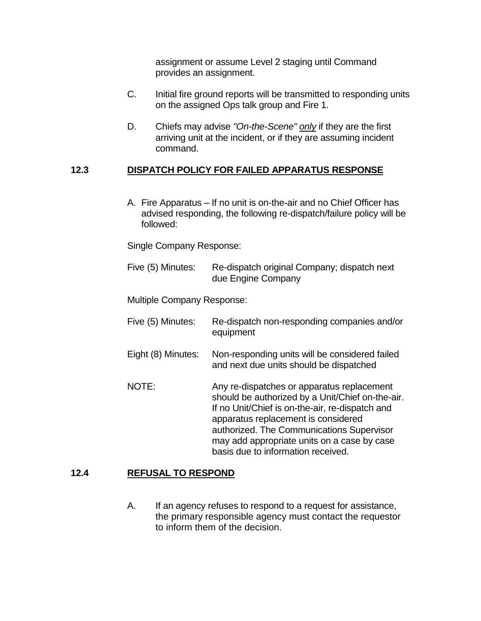assignment or assume Level 2 staging until Command provides an assignment.

- on the assigned Ops talk group and Fire 1. C. Initial fire ground reports will be transmitted to responding units
- arriving unit at the incident, or if they are assuming incident D. Chiefs may advise *"On-the-Scene" only* if they are the first command.

## $12.3$ **12.3 DISPATCH POLICY FOR FAILED APPARATUS RESPONSE**

 A. Fire Apparatus – If no unit is on-the-air and no Chief Officer has advised responding, the following re-dispatch/failure policy will be followed:

Single Company Response:

 due Engine Company Five (5) Minutes: Re-dispatch original Company; dispatch next

Multiple Company Response:

- Five (5) Minutes: Re-dispatch non-responding companies and/or equipment
- and next due units should be dispatched Eight (8) Minutes: Non-responding units will be considered failed
- should be authorized by a Unit/Chief on-the-air. If no Unit/Chief is on-the-air, re-dispatch and apparatus replacement is considered authorized. The Communications Supervisor may add appropriate units on a case by case basis due to information received. NOTE: Any re-dispatches or apparatus replacement

### $12.4$ **REFUSAL TO RESPOND**

A. If an agency refuses to respond to a request for assistance, the primary responsible agency must contact the requestor to inform them of the decision.